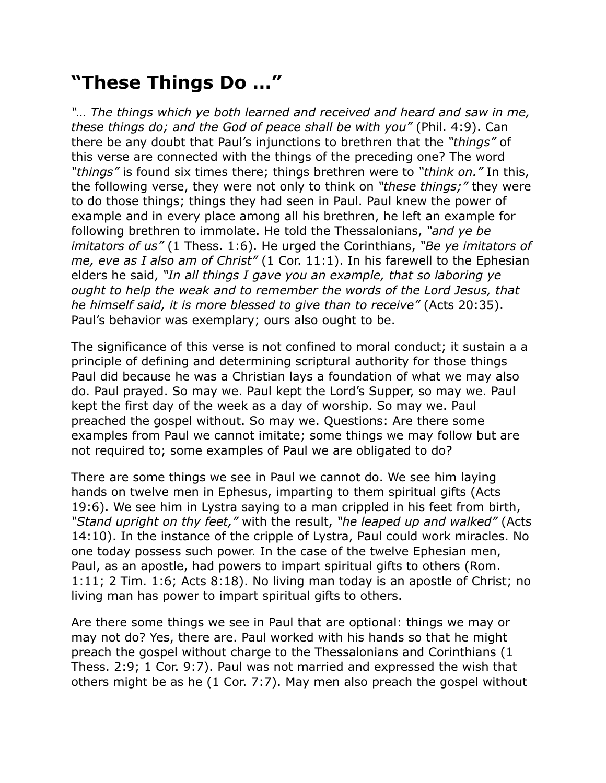## **"These Things Do …"**

*"… The things which ye both learned and received and heard and saw in me, these things do; and the God of peace shall be with you"* (Phil. 4:9). Can there be any doubt that Paul's injunctions to brethren that the *"things"* of this verse are connected with the things of the preceding one? The word *"things"* is found six times there; things brethren were to *"think on."* In this, the following verse, they were not only to think on *"these things;"* they were to do those things; things they had seen in Paul. Paul knew the power of example and in every place among all his brethren, he left an example for following brethren to immolate. He told the Thessalonians, *"and ye be imitators of us"* (1 Thess. 1:6). He urged the Corinthians, *"Be ye imitators of me, eve as I also am of Christ"* (1 Cor. 11:1). In his farewell to the Ephesian elders he said, *"In all things I gave you an example, that so laboring ye ought to help the weak and to remember the words of the Lord Jesus, that he himself said, it is more blessed to give than to receive"* (Acts 20:35). Paul's behavior was exemplary; ours also ought to be.

The significance of this verse is not confined to moral conduct; it sustain a a principle of defining and determining scriptural authority for those things Paul did because he was a Christian lays a foundation of what we may also do. Paul prayed. So may we. Paul kept the Lord's Supper, so may we. Paul kept the first day of the week as a day of worship. So may we. Paul preached the gospel without. So may we. Questions: Are there some examples from Paul we cannot imitate; some things we may follow but are not required to; some examples of Paul we are obligated to do?

There are some things we see in Paul we cannot do. We see him laying hands on twelve men in Ephesus, imparting to them spiritual gifts (Acts 19:6). We see him in Lystra saying to a man crippled in his feet from birth, *"Stand upright on thy feet,"* with the result, *"he leaped up and walked"* (Acts 14:10). In the instance of the cripple of Lystra, Paul could work miracles. No one today possess such power. In the case of the twelve Ephesian men, Paul, as an apostle, had powers to impart spiritual gifts to others (Rom. 1:11; 2 Tim. 1:6; Acts 8:18). No living man today is an apostle of Christ; no living man has power to impart spiritual gifts to others.

Are there some things we see in Paul that are optional: things we may or may not do? Yes, there are. Paul worked with his hands so that he might preach the gospel without charge to the Thessalonians and Corinthians (1 Thess. 2:9; 1 Cor. 9:7). Paul was not married and expressed the wish that others might be as he (1 Cor. 7:7). May men also preach the gospel without